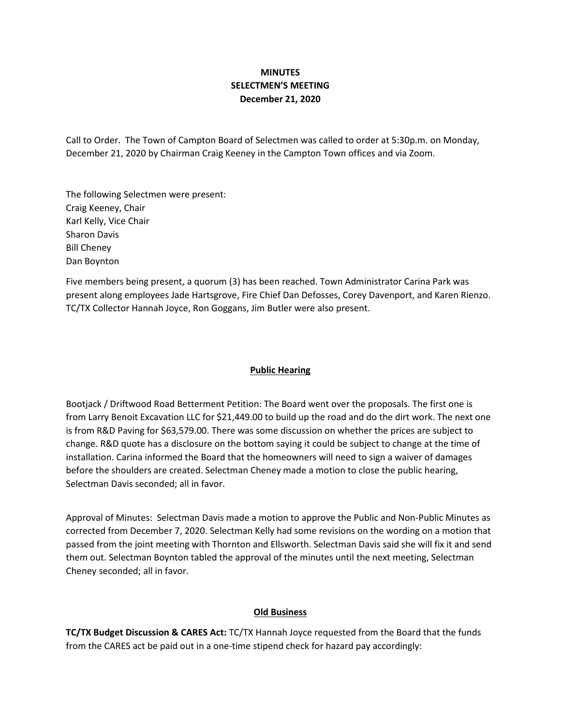# **MINUTES SELECTMEN'S MEETING December 21, 2020**

Call to Order. The Town of Campton Board of Selectmen was called to order at 5:30p.m. on Monday, December 21, 2020 by Chairman Craig Keeney in the Campton Town offices and via Zoom.

The following Selectmen were present: Craig Keeney, Chair Karl Kelly, Vice Chair Sharon Davis Bill Cheney Dan Boynton

Five members being present, a quorum (3) has been reached. Town Administrator Carina Park was present along employees Jade Hartsgrove, Fire Chief Dan Defosses, Corey Davenport, and Karen Rienzo. TC/TX Collector Hannah Joyce, Ron Goggans, Jim Butler were also present.

## **Public Hearing**

Bootjack / Driftwood Road Betterment Petition: The Board went over the proposals. The first one is from Larry Benoit Excavation LLC for \$21,449.00 to build up the road and do the dirt work. The next one is from R&D Paving for \$63,579.00. There was some discussion on whether the prices are subject to change. R&D quote has a disclosure on the bottom saying it could be subject to change at the time of installation. Carina informed the Board that the homeowners will need to sign a waiver of damages before the shoulders are created. Selectman Cheney made a motion to close the public hearing, Selectman Davis seconded; all in favor.

Approval of Minutes: Selectman Davis made a motion to approve the Public and Non-Public Minutes as corrected from December 7, 2020. Selectman Kelly had some revisions on the wording on a motion that passed from the joint meeting with Thornton and Ellsworth. Selectman Davis said she will fix it and send them out. Selectman Boynton tabled the approval of the minutes until the next meeting, Selectman Cheney seconded; all in favor.

### **Old Business**

**TC/TX Budget Discussion & CARES Act:** TC/TX Hannah Joyce requested from the Board that the funds from the CARES act be paid out in a one-time stipend check for hazard pay accordingly: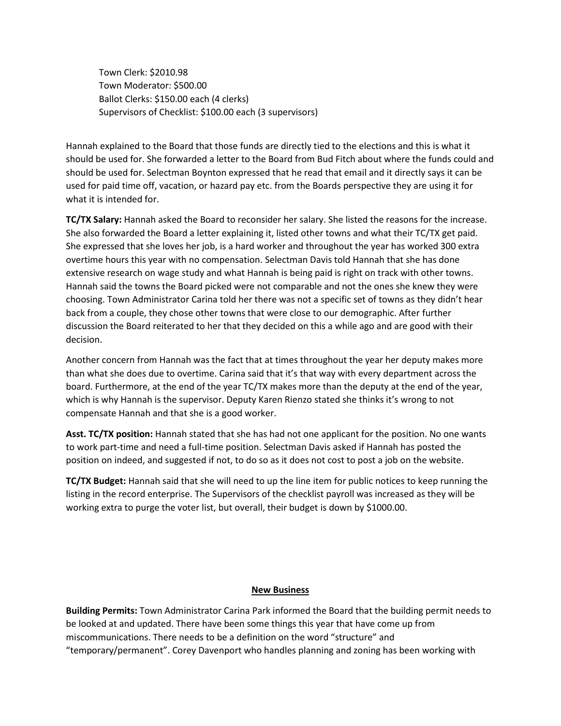Town Clerk: \$2010.98 Town Moderator: \$500.00 Ballot Clerks: \$150.00 each (4 clerks) Supervisors of Checklist: \$100.00 each (3 supervisors)

Hannah explained to the Board that those funds are directly tied to the elections and this is what it should be used for. She forwarded a letter to the Board from Bud Fitch about where the funds could and should be used for. Selectman Boynton expressed that he read that email and it directly says it can be used for paid time off, vacation, or hazard pay etc. from the Boards perspective they are using it for what it is intended for.

**TC/TX Salary:** Hannah asked the Board to reconsider her salary. She listed the reasons for the increase. She also forwarded the Board a letter explaining it, listed other towns and what their TC/TX get paid. She expressed that she loves her job, is a hard worker and throughout the year has worked 300 extra overtime hours this year with no compensation. Selectman Davis told Hannah that she has done extensive research on wage study and what Hannah is being paid is right on track with other towns. Hannah said the towns the Board picked were not comparable and not the ones she knew they were choosing. Town Administrator Carina told her there was not a specific set of towns as they didn't hear back from a couple, they chose other towns that were close to our demographic. After further discussion the Board reiterated to her that they decided on this a while ago and are good with their decision.

Another concern from Hannah was the fact that at times throughout the year her deputy makes more than what she does due to overtime. Carina said that it's that way with every department across the board. Furthermore, at the end of the year TC/TX makes more than the deputy at the end of the year, which is why Hannah is the supervisor. Deputy Karen Rienzo stated she thinks it's wrong to not compensate Hannah and that she is a good worker.

**Asst. TC/TX position:** Hannah stated that she has had not one applicant for the position. No one wants to work part-time and need a full-time position. Selectman Davis asked if Hannah has posted the position on indeed, and suggested if not, to do so as it does not cost to post a job on the website.

**TC/TX Budget:** Hannah said that she will need to up the line item for public notices to keep running the listing in the record enterprise. The Supervisors of the checklist payroll was increased as they will be working extra to purge the voter list, but overall, their budget is down by \$1000.00.

### **New Business**

**Building Permits:** Town Administrator Carina Park informed the Board that the building permit needs to be looked at and updated. There have been some things this year that have come up from miscommunications. There needs to be a definition on the word "structure" and "temporary/permanent". Corey Davenport who handles planning and zoning has been working with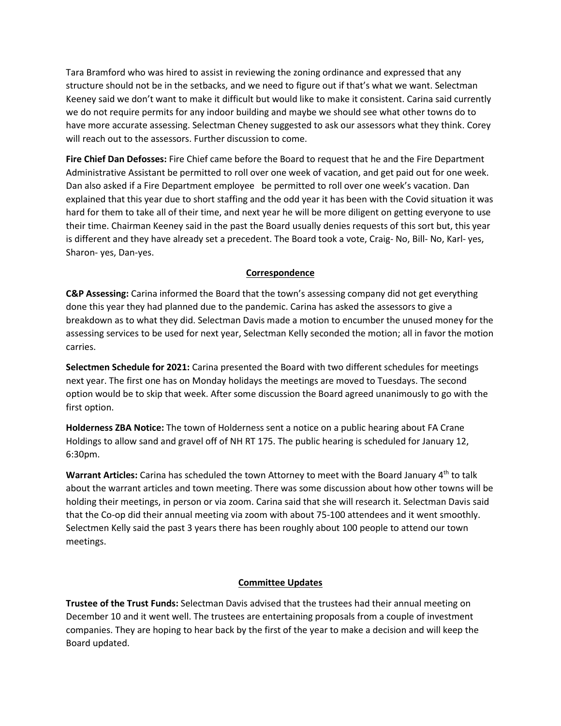Tara Bramford who was hired to assist in reviewing the zoning ordinance and expressed that any structure should not be in the setbacks, and we need to figure out if that's what we want. Selectman Keeney said we don't want to make it difficult but would like to make it consistent. Carina said currently we do not require permits for any indoor building and maybe we should see what other towns do to have more accurate assessing. Selectman Cheney suggested to ask our assessors what they think. Corey will reach out to the assessors. Further discussion to come.

**Fire Chief Dan Defosses:** Fire Chief came before the Board to request that he and the Fire Department Administrative Assistant be permitted to roll over one week of vacation, and get paid out for one week. Dan also asked if a Fire Department employee be permitted to roll over one week's vacation. Dan explained that this year due to short staffing and the odd year it has been with the Covid situation it was hard for them to take all of their time, and next year he will be more diligent on getting everyone to use their time. Chairman Keeney said in the past the Board usually denies requests of this sort but, this year is different and they have already set a precedent. The Board took a vote, Craig- No, Bill- No, Karl- yes, Sharon- yes, Dan-yes.

## **Correspondence**

**C&P Assessing:** Carina informed the Board that the town's assessing company did not get everything done this year they had planned due to the pandemic. Carina has asked the assessors to give a breakdown as to what they did. Selectman Davis made a motion to encumber the unused money for the assessing services to be used for next year, Selectman Kelly seconded the motion; all in favor the motion carries.

**Selectmen Schedule for 2021:** Carina presented the Board with two different schedules for meetings next year. The first one has on Monday holidays the meetings are moved to Tuesdays. The second option would be to skip that week. After some discussion the Board agreed unanimously to go with the first option.

**Holderness ZBA Notice:** The town of Holderness sent a notice on a public hearing about FA Crane Holdings to allow sand and gravel off of NH RT 175. The public hearing is scheduled for January 12, 6:30pm.

**Warrant Articles:** Carina has scheduled the town Attorney to meet with the Board January 4th to talk about the warrant articles and town meeting. There was some discussion about how other towns will be holding their meetings, in person or via zoom. Carina said that she will research it. Selectman Davis said that the Co-op did their annual meeting via zoom with about 75-100 attendees and it went smoothly. Selectmen Kelly said the past 3 years there has been roughly about 100 people to attend our town meetings.

## **Committee Updates**

**Trustee of the Trust Funds:** Selectman Davis advised that the trustees had their annual meeting on December 10 and it went well. The trustees are entertaining proposals from a couple of investment companies. They are hoping to hear back by the first of the year to make a decision and will keep the Board updated.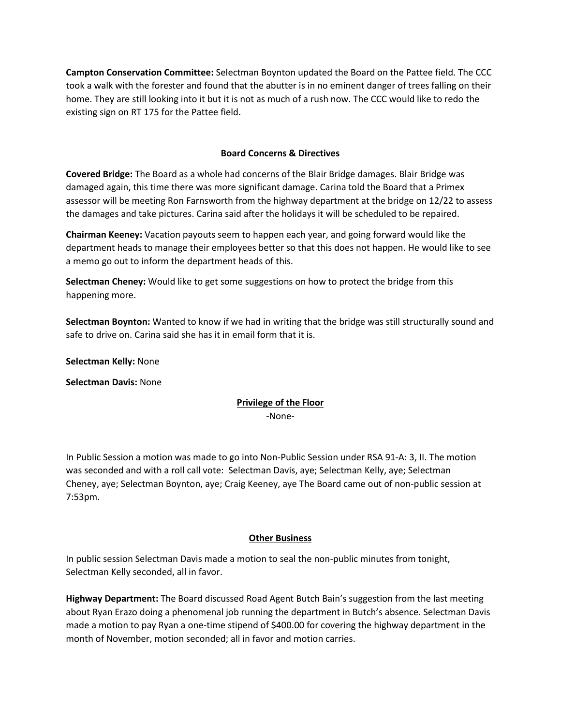**Campton Conservation Committee:** Selectman Boynton updated the Board on the Pattee field. The CCC took a walk with the forester and found that the abutter is in no eminent danger of trees falling on their home. They are still looking into it but it is not as much of a rush now. The CCC would like to redo the existing sign on RT 175 for the Pattee field.

### **Board Concerns & Directives**

**Covered Bridge:** The Board as a whole had concerns of the Blair Bridge damages. Blair Bridge was damaged again, this time there was more significant damage. Carina told the Board that a Primex assessor will be meeting Ron Farnsworth from the highway department at the bridge on 12/22 to assess the damages and take pictures. Carina said after the holidays it will be scheduled to be repaired.

**Chairman Keeney:** Vacation payouts seem to happen each year, and going forward would like the department heads to manage their employees better so that this does not happen. He would like to see a memo go out to inform the department heads of this.

**Selectman Cheney:** Would like to get some suggestions on how to protect the bridge from this happening more.

**Selectman Boynton:** Wanted to know if we had in writing that the bridge was still structurally sound and safe to drive on. Carina said she has it in email form that it is.

**Selectman Kelly:** None

**Selectman Davis:** None

# **Privilege of the Floor**

-None-

In Public Session a motion was made to go into Non-Public Session under RSA 91-A: 3, II. The motion was seconded and with a roll call vote: Selectman Davis, aye; Selectman Kelly, aye; Selectman Cheney, aye; Selectman Boynton, aye; Craig Keeney, aye The Board came out of non-public session at 7:53pm.

### **Other Business**

In public session Selectman Davis made a motion to seal the non-public minutes from tonight, Selectman Kelly seconded, all in favor.

**Highway Department:** The Board discussed Road Agent Butch Bain's suggestion from the last meeting about Ryan Erazo doing a phenomenal job running the department in Butch's absence. Selectman Davis made a motion to pay Ryan a one-time stipend of \$400.00 for covering the highway department in the month of November, motion seconded; all in favor and motion carries.